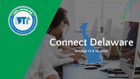

# **Connect Delaware**

**October 13 & 15, 2020**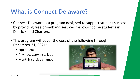## **What is Connect Delaware?**

- Connect Delaware is a program designed to support student success by providing free broadband services for low-income students in Districts and Charters.
- This program will cover the cost of the following through December 31, 2021:
	- Equipment
	- Any necessary installation
	- Monthly service charges

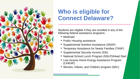

### **Who is eligible for Connect Delaware?**

Students are eligible if they are enrolled in any of the following federal assistance programs:

- Medicaid
- Public Housing assistance
- Supplemental Nutrition Assistance (SNAP)
- Temporary Assistance for Needy Families (TANF)
- Supplemental Security Income (SSI)
- National School Lunch Program (NSLP)/Head Start
- Low Income Home Energy Assistance Program (LIHEAP)
- Women, Infants, and Children program (WIC)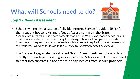# **What will Schools need to do?**



#### **Step 1 - Needs Assessment**

- Schools will receive a catalog of eligible Internet Service Providers (ISPs) for their student households and a Needs Assessment from the State. Available products will include both hotspots that provide Wi-Fi using mobile networks and fixed service installed in the home. Using the catalog, Schools will complete the Needs Assessment to request the amount of each available product required to meet the needs of their students. *This means indicating the ISP they are selecting for each household.*
- The State will aggregate the returned Needs Assessments and place orders directly with each participating service provider. School districts will not need to enter into contracts, place orders, or pay invoices from service providers.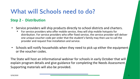# **What will Schools need to do?**

#### **Step 2 - Distribution**

- Service providers will ship products directly to school districts and charters.
	- For service providers who offer mobile service, they will ship mobile hotspots for distribution. For service providers who offer fixed service, the service provider will deliver one unique voucher code per order that the student's family may then use to call the provider and request free installation and service.
- Schools will notify households when they need to pick up either the equipment or the voucher codes.

The State will host an informational webinar for schools in early October that will explain program details and give guidance for completing the Needs Assessment. Supporting materials will also be provided.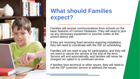

### **What should Families expect?**

- Families will receive communications from schools on the basic features of Connect Delaware. They will need to pick up any necessary equipment or voucher codes at the school district site.
- If they are receiving fixed services requiring installation, they will need to coordinate with the ISP on scheduling.
- Families will not need to pay for participation, and they will not need to cancel the service at the end of the term. Service will end automatically, and families will never be charged nor opted in to continued service.
- If families face technical or other issues, they will need to call the ISP customer service to address the issues.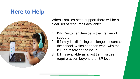### **Here to Help**



When Families need support there will be a clear set of resources available:

- 1. ISP Customer Service is the first tier of support
- 2. If family is still facing challenges, it contacts the school, which can then work with the ISP on resolving the issue
- 3. DTI is available as a last tier if issues require action beyond the ISP level